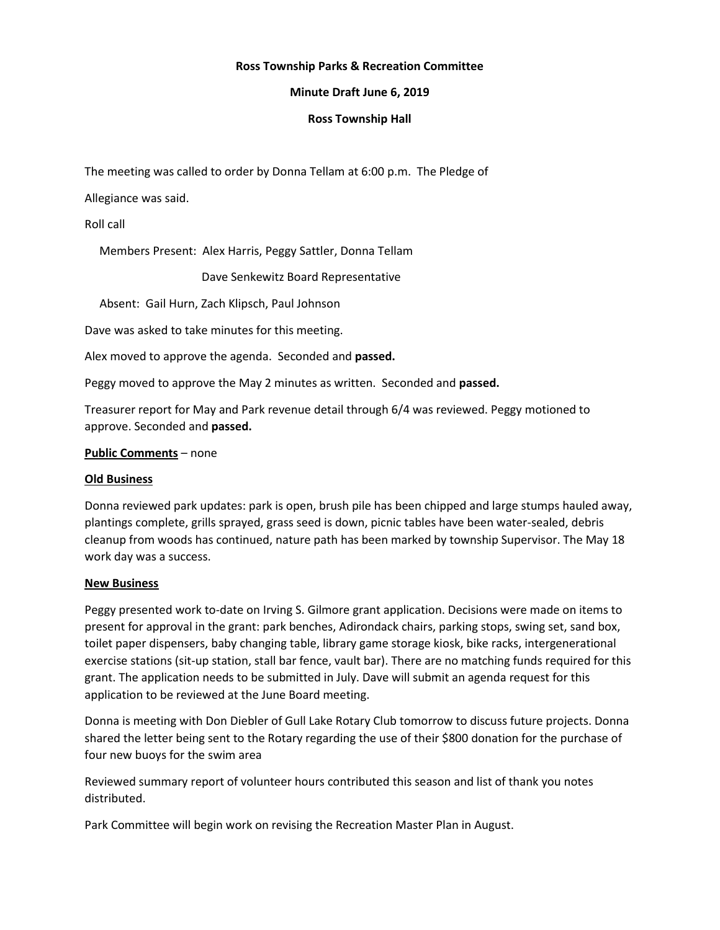# **Ross Township Parks & Recreation Committee**

# **Minute Draft June 6, 2019**

# **Ross Township Hall**

The meeting was called to order by Donna Tellam at 6:00 p.m. The Pledge of

Allegiance was said.

Roll call

Members Present: Alex Harris, Peggy Sattler, Donna Tellam

Dave Senkewitz Board Representative

Absent: Gail Hurn, Zach Klipsch, Paul Johnson

Dave was asked to take minutes for this meeting.

Alex moved to approve the agenda. Seconded and **passed.**

Peggy moved to approve the May 2 minutes as written. Seconded and **passed.**

Treasurer report for May and Park revenue detail through 6/4 was reviewed. Peggy motioned to approve. Seconded and **passed.**

### **Public Comments** – none

### **Old Business**

Donna reviewed park updates: park is open, brush pile has been chipped and large stumps hauled away, plantings complete, grills sprayed, grass seed is down, picnic tables have been water-sealed, debris cleanup from woods has continued, nature path has been marked by township Supervisor. The May 18 work day was a success.

### **New Business**

Peggy presented work to-date on Irving S. Gilmore grant application. Decisions were made on items to present for approval in the grant: park benches, Adirondack chairs, parking stops, swing set, sand box, toilet paper dispensers, baby changing table, library game storage kiosk, bike racks, intergenerational exercise stations (sit-up station, stall bar fence, vault bar). There are no matching funds required for this grant. The application needs to be submitted in July. Dave will submit an agenda request for this application to be reviewed at the June Board meeting.

Donna is meeting with Don Diebler of Gull Lake Rotary Club tomorrow to discuss future projects. Donna shared the letter being sent to the Rotary regarding the use of their \$800 donation for the purchase of four new buoys for the swim area

Reviewed summary report of volunteer hours contributed this season and list of thank you notes distributed.

Park Committee will begin work on revising the Recreation Master Plan in August.